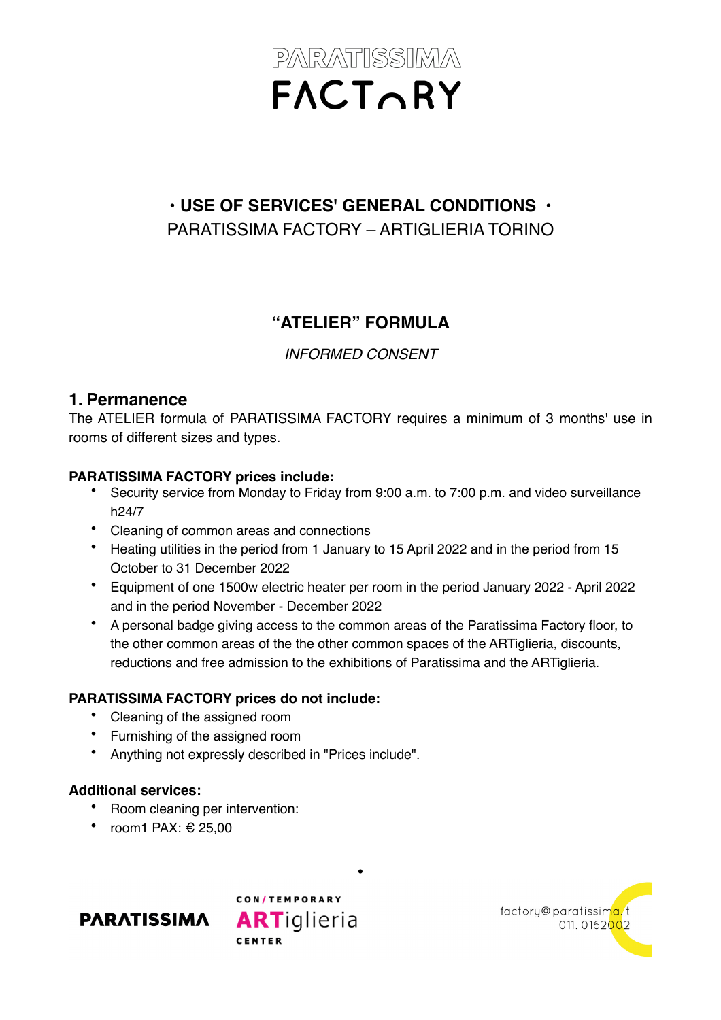# **• USE OF SERVICES' GENERAL CONDITIONS •** PARATISSIMA FACTORY – ARTIGLIERIA TORINO

# **"ATELIER" FORMULA**

*INFORMED CONSENT* 

#### **1. Permanence**

The ATELIER formula of PARATISSIMA FACTORY requires a minimum of 3 months' use in rooms of different sizes and types.

#### **PARATISSIMA FACTORY prices include:**

- Security service from Monday to Friday from 9:00 a.m. to 7:00 p.m. and video surveillance h24/7
- Cleaning of common areas and connections
- Heating utilities in the period from 1 January to 15 April 2022 and in the period from 15 October to 31 December 2022
- Equipment of one 1500w electric heater per room in the period January 2022 April 2022 and in the period November - December 2022
- A personal badge giving access to the common areas of the Paratissima Factory floor, to the other common areas of the the other common spaces of the ARTiglieria, discounts, reductions and free admission to the exhibitions of Paratissima and the ARTiglieria.

**•**

#### **PARATISSIMA FACTORY prices do not include:**

- Cleaning of the assigned room
- Furnishing of the assigned room
- Anything not expressly described in "Prices include".

#### **Additional services:**

- Room cleaning per intervention:
- room1 PAX: € 25,00





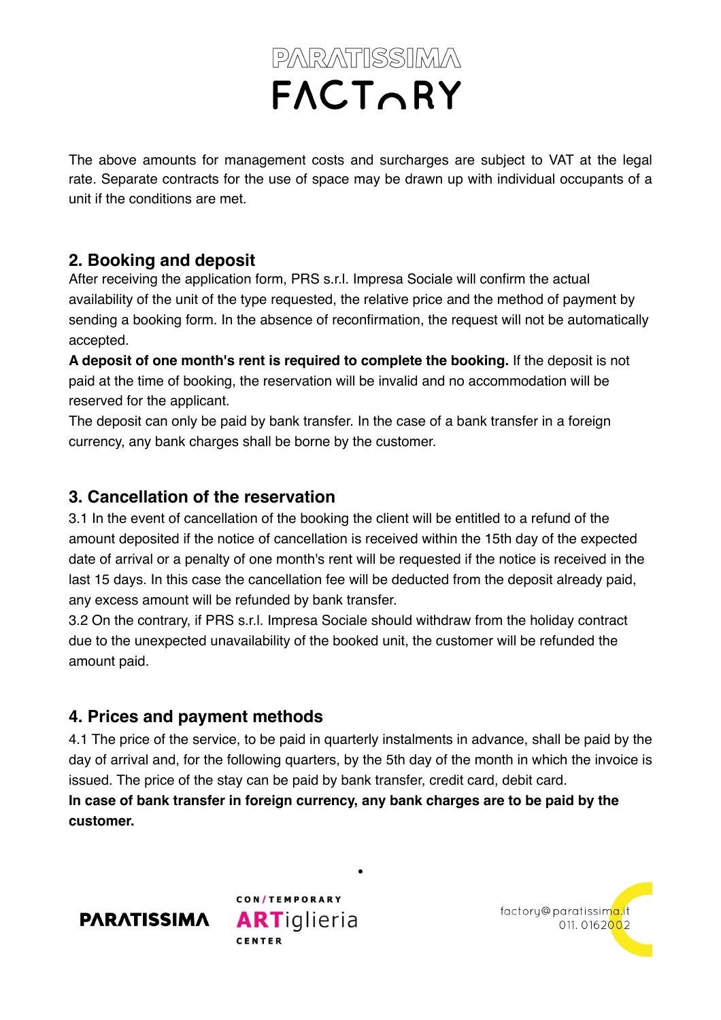The above amounts for management costs and surcharges are subject to VAT at the legal rate. Separate contracts for the use of space may be drawn up with individual occupants of a unit if the conditions are met.

## **2. Booking and deposit**

After receiving the application form, PRS s.r.l. Impresa Sociale will confirm the actual availability of the unit of the type requested, the relative price and the method of payment by sending a booking form. In the absence of reconfirmation, the request will not be automatically accepted.

**A deposit of one month's rent is required to complete the booking.** If the deposit is not paid at the time of booking, the reservation will be invalid and no accommodation will be reserved for the applicant.

The deposit can only be paid by bank transfer. In the case of a bank transfer in a foreign currency, any bank charges shall be borne by the customer.

### **3. Cancellation of the reservation**

3.1 In the event of cancellation of the booking the client will be entitled to a refund of the amount deposited if the notice of cancellation is received within the 15th day of the expected date of arrival or a penalty of one month's rent will be requested if the notice is received in the last 15 days. In this case the cancellation fee will be deducted from the deposit already paid, any excess amount will be refunded by bank transfer.

3.2 On the contrary, if PRS s.r.l. Impresa Sociale should withdraw from the holiday contract due to the unexpected unavailability of the booked unit, the customer will be refunded the amount paid.

# **4. Prices and payment methods**

4.1 The price of the service, to be paid in quarterly instalments in advance, shall be paid by the day of arrival and, for the following quarters, by the 5th day of the month in which the invoice is issued. The price of the stay can be paid by bank transfer, credit card, debit card.

**•**

**In case of bank transfer in foreign currency, any bank charges are to be paid by the customer.** 



CON/TEMPORARY **ARTiglieria** CENTED

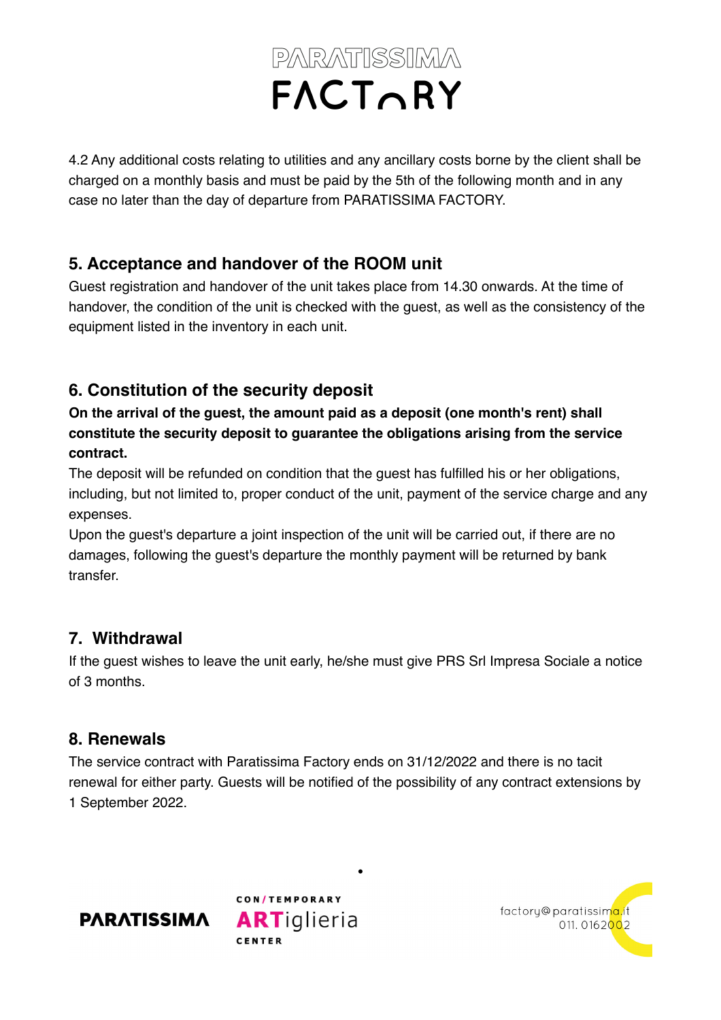4.2 Any additional costs relating to utilities and any ancillary costs borne by the client shall be charged on a monthly basis and must be paid by the 5th of the following month and in any case no later than the day of departure from PARATISSIMA FACTORY.

## **5. Acceptance and handover of the ROOM unit**

Guest registration and handover of the unit takes place from 14.30 onwards. At the time of handover, the condition of the unit is checked with the guest, as well as the consistency of the equipment listed in the inventory in each unit.

# **6. Constitution of the security deposit**

**On the arrival of the guest, the amount paid as a deposit (one month's rent) shall constitute the security deposit to guarantee the obligations arising from the service contract.** 

The deposit will be refunded on condition that the guest has fulfilled his or her obligations, including, but not limited to, proper conduct of the unit, payment of the service charge and any expenses.

Upon the guest's departure a joint inspection of the unit will be carried out, if there are no damages, following the guest's departure the monthly payment will be returned by bank transfer.

## **7. Withdrawal**

If the guest wishes to leave the unit early, he/she must give PRS Srl Impresa Sociale a notice of 3 months.

## **8. Renewals**

The service contract with Paratissima Factory ends on 31/12/2022 and there is no tacit renewal for either party. Guests will be notified of the possibility of any contract extensions by 1 September 2022.

**•**





factory@paratissima.it 011.0162002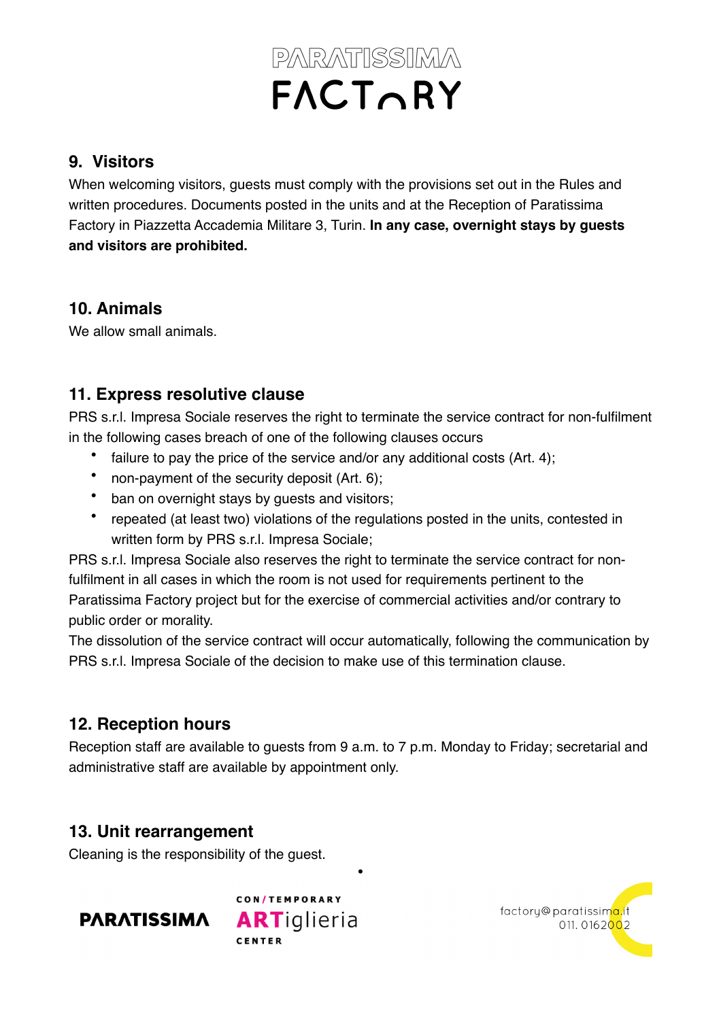#### **9. Visitors**

When welcoming visitors, guests must comply with the provisions set out in the Rules and written procedures. Documents posted in the units and at the Reception of Paratissima Factory in Piazzetta Accademia Militare 3, Turin. **In any case, overnight stays by guests and visitors are prohibited.**

#### **10. Animals**

We allow small animals.

## **11. Express resolutive clause**

PRS s.r.l. Impresa Sociale reserves the right to terminate the service contract for non-fulfilment in the following cases breach of one of the following clauses occurs

- failure to pay the price of the service and/or any additional costs (Art. 4);
- non-payment of the security deposit (Art. 6);
- ban on overnight stays by guests and visitors;
- repeated (at least two) violations of the regulations posted in the units, contested in written form by PRS s.r.l. Impresa Sociale;

PRS s.r.l. Impresa Sociale also reserves the right to terminate the service contract for nonfulfilment in all cases in which the room is not used for requirements pertinent to the Paratissima Factory project but for the exercise of commercial activities and/or contrary to public order or morality.

The dissolution of the service contract will occur automatically, following the communication by PRS s.r.l. Impresa Sociale of the decision to make use of this termination clause.

### **12. Reception hours**

Reception staff are available to guests from 9 a.m. to 7 p.m. Monday to Friday; secretarial and administrative staff are available by appointment only.

**•**

### **13. Unit rearrangement**

Cleaning is the responsibility of the guest.



CON/TEMPORARY **ARTiglieria CENTER**